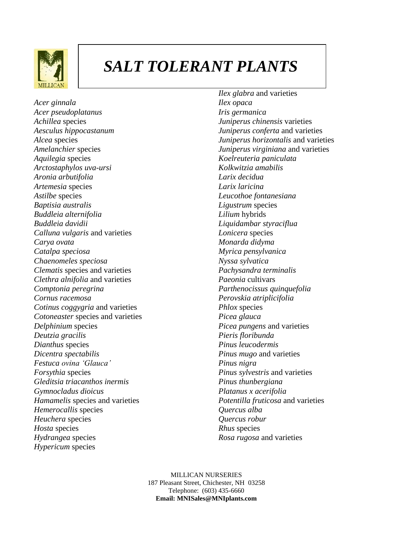

## *SALT TOLERANT PLANTS*

*Acer ginnala Acer pseudoplatanus Achillea* species *Aesculus hippocastanum Alcea* species *Amelanchier* species *Aquilegia* species *Arctostaphylos uva-ursi Aronia arbutifolia Artemesia* species *Astilbe* species *Baptisia australis Buddleia alternifolia Buddleia davidii Calluna vulgaris* and varieties *Carya ovata Catalpa speciosa Chaenomeles speciosa Clematis* species and varieties *Clethra alnifolia* and varieties *Comptonia peregrina Cornus racemosa Cotinus coggygria* and varieties *Cotoneaster* species and varieties *Delphinium* species *Deutzia gracilis Dianthus* species *Dicentra spectabilis Festuca ovina 'Glauca' Forsythia* species *Gleditsia triacanthos inermis Gymnocladus dioicus Hamamelis* species and varieties *Hemerocallis* species *Heuchera* species *Hosta* species *Hydrangea* species *Hypericum* species

*Ilex glabra* and varieties *Ilex opaca Iris germanica Juniperus chinensis* varieties *Juniperus conferta* and varieties *Juniperus horizontalis* and varieties *Juniperus virginiana* and varieties *Koelreuteria paniculata Kolkwitzia amabilis Larix decidua Larix laricina Leucothoe fontanesiana Ligustrum* species *Lilium* hybrids *Liquidambar styraciflua Lonicera* species *Monarda didyma Myrica pensylvanica Nyssa sylvatica Pachysandra terminalis Paeonia* cultivars *Parthenocissus quinquefolia Perovskia atriplicifolia Phlox* species *Picea glauca Picea pungens* and varieties *Pieris floribunda Pinus leucodermis Pinus mugo* and varieties *Pinus nigra Pinus sylvestris* and varieties *Pinus thunbergiana Platanus x acerifolia Potentilla fruticosa* and varieties *Quercus alba Quercus robur Rhus* species *Rosa rugosa* and varieties

MILLICAN NURSERIES 187 Pleasant Street, Chichester, NH 03258 Telephone: (603) 435-6660 **Email: MNISales@MNIplants.com**